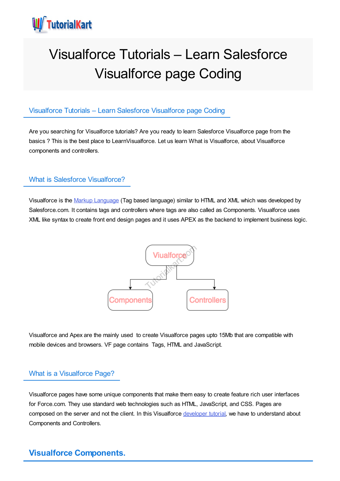

# Visualforce Tutorials – Learn Salesforce Visualforce page Coding

# Visualforce Tutorials – Learn Salesforce Visualforce page Coding

Are you searching for Visualforce tutorials? Are you ready to learn Salesforce Visualforce page from the basics ? This is the best place to LearnVisualforce. Let us learn What is Visualforce, about Visualforce components and controllers.

# What is Salesforce Visualforce?

Visualforce is the Markup [Language](https://www.tutorialkart.com/salesforce/what-is-saml-security-assertion-markup-language/) (Tag based language) similar to HTML and XML which was developed by Salesforce.com. It contains tags and controllers where tags are also called as Components. Visualforce uses XML like syntax to create front end design pages and it uses APEX as the backend to implement business logic.



Visualforce and Apex are the mainly used to create Visualforce pages upto 15Mb that are compatible with mobile devices and browsers. VF page contains Tags, HTML and JavaScript.

# What is a Visualforce Page?

Visualforce pages have some unique components that make them easy to create feature rich user interfaces for Force.com. They use standard web technologies such as HTML, JavaScript, and CSS. Pages are composed on the server and not the client. In this Visualforce [developer](https://www.tutorialkart.com/salesforce-tutorials/salesforce-developer-tutorials/) tutorial, we have to understand about Components and Controllers.

# **Visualforce Components.**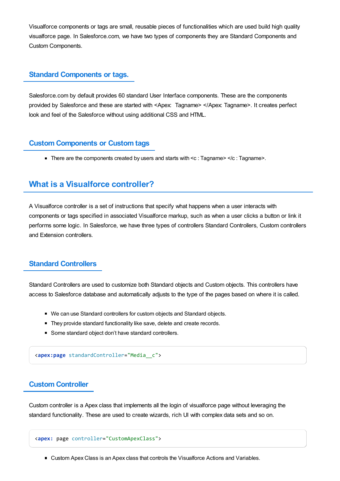Visualforce components or tags are small, reusable pieces of functionalities which are used build high quality visualforce page. In Salesforce.com, we have two types of components they are Standard Components and Custom Components.

## **Standard Components or tags.**

Salesforce.com by default provides 60 standard User Interface components. These are the components provided by Salesforce and these are started with <Apex: Tagname> </Apex: Tagname>. It creates perfect look and feel of the Salesforce without using additional CSS and HTML.

## **Custom Components or Custom tags**

There are the components created by users and starts with  $\lt c$  : Tagname  $\lt l$  : Tagname  $\gt$ .

# **What is a Visualforce controller?**

A Visualforce controller is a set of instructions that specify what happens when a user interacts with components or tags specified in associated Visualforce markup, such as when a user clicks a button or link it performs some logic. In Salesforce, we have three types of controllers Standard Controllers, Custom controllers and Extension controllers.

# **Standard Controllers**

Standard Controllers are used to customize both Standard objects and Custom objects. This controllers have access to Salesforce database and automatically adjusts to the type of the pages based on where it is called.

- We can use Standard controllers for custom objects and Standard objects.
- **They provide standard functionality like save, delete and create records.**
- Some standard object don't have standard controllers.

<**apex:page** standardController="Media\_\_c">

# **Custom Controller**

Custom controller is a Apex class that implements all the login of visualforce page without leveraging the standard functionality. These are used to create wizards, rich UI with complex data sets and so on.

```
<apex: page controller="CustomApexClass">
```
Custom Apex Class is an Apex class that controls the Visualforce Actions and Variables.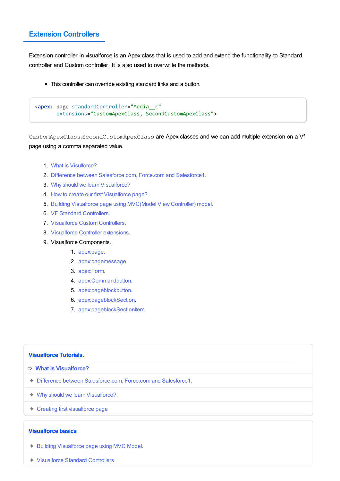# **Extension Controllers**

Extension controller in visualforce is an Apex class that is used to add and extend the functionality to Standard controller and Custom controller. It is also used to overwrite the methods.

■ This controller can override existing standard links and a button.

```
<apex: page standardController="Media__c"
extensions="CustomApexClass, SecondCustomApexClass">
```
CustomApexClass,SecondCustomApexClass are Apex classes and we can add multiple extension on a Vf page using a comma separated value.

- 1. What is [Visulforce?](https://www.tutorialkart.com/visualforce-tutorials-learn-salesforce-visualforce-page-coding/)
- 2. Difference between [Salesforce.com,](https://www.tutorialkart.com/visualforce/difference-between-salesforce-com-force-com-and-salesforce1/) Force.com and Salesforce1.
- 3. Why should we learn [Visualforce?](https://www.tutorialkart.com/visualforce-tutorials-learn-salesforce-visualforce-page-coding/visualforce/visualforce-used-salesforce/)
- 4. How to create our first [Visualforce](https://www.tutorialkart.com/visualforce/how-to-create-visualforce-page-in-salesforce/) page?
- 5. Building Visualforce page using [MVC\(Model](https://www.tutorialkart.com/visualforce/salesforce-mvc-architecture-model-view-controller/) View Controller) model.
- 6. VF Standard [Controllers.](https://www.tutorialkart.com/visualforce/standard-controller-in-salesforce-standardcontroller-attribute/)
- 7. Visualforce Custom [Controllers.](https://www.tutorialkart.com/visualforce/custom-controller-in-salesforce/)
- 8. [Visualforce](https://www.tutorialkart.com/visualforce/controller-extension-in-salesforce/) Controller extensions.
- 9. Visualforce Components.
	- 1. [apex:page.](https://www.tutorialkart.com/visualforce/standard-visualforce-components-apexpage-component/)
	- 2. [apex:pagemessage.](https://www.tutorialkart.com/visualforce/apexpagemessage-component/)
	- 3. [apex:Form](https://www.tutorialkart.com/visualforce/apex-form-component/).
	- 4. [apex:Commandbutton.](https://www.tutorialkart.com/visualforce/apexcommandbutton-component/)
	- 5. [apex:pageblockbutton.](https://www.tutorialkart.com/visualforce/apex-pageblockbuttons-component/)
	- 6. [apex:pageblockSection](https://www.tutorialkart.com/visualforce/apex-pageblocksection-component/).
	- 7. [apex:pageblockSectionItem.](https://www.tutorialkart.com/visualforce/apex-pageblocksectionitem-component/)

#### **Visualforce Tutorials.**

- ➩ **What is [Visualforce?](https://www.tutorialkart.com/visualforce-tutorials-learn-salesforce-visualforce-page-coding/)**
- ✦ Difference between [Salesforce.com,](https://www.tutorialkart.com/visualforce/difference-between-salesforce-com-force-com-and-salesforce1/) Force.com and Salesforce1.
- ✦ Why should we learn [Visualforce?.](https://www.tutorialkart.com/visualforce/visualforce-used-salesforce/)
- ✦ Creating first [visualforce](https://www.tutorialkart.com/visualforce/how-to-create-visualforce-page-in-salesforce/) page

#### **Visualforce basics**

- ✦ Building [Visualforce](https://www.tutorialkart.com/visualforce/salesforce-mvc-architecture-model-view-controller/) page using MVC Model.
- ✦ [Visualforce](https://www.tutorialkart.com/visualforce/standard-controller-in-salesforce-standardcontroller-attribute/) Standard Controllers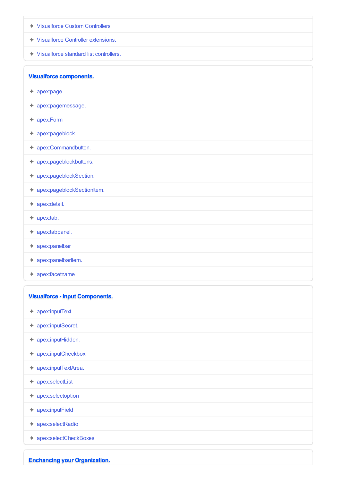- ✦ [Visualforce](https://www.tutorialkart.com/visualforce/custom-controller-in-salesforce/) Custom Controllers
- ✦ Visualforce Controller [extensions.](https://www.tutorialkart.com/visualforce/controller-extension-in-salesforce/)
- ✦ [Visualforce](https://www.tutorialkart.com/visualforce/standard-list-controllers-in-salesforce/) standard list controllers.

**Visualforce components.**

- ✦ [apex:page.](https://www.tutorialkart.com/visualforce/standard-visualforce-components-apexpage-component/)
- ✦ [apex:pagemessage.](https://www.tutorialkart.com/visualforce/apexpagemessage-component/)
- ✦ [apex:Form](https://www.tutorialkart.com/visualforce/apex-form-component/)
- ✦ [apex:pageblock.](https://www.tutorialkart.com/visualforce/apexpageblock-component/)
- ✦ [apex:Commandbutton.](https://www.tutorialkart.com/visualforce/apexcommandbutton-component/)
- ✦ [apex:pageblockbuttons.](https://www.tutorialkart.com/visualforce/apex-pageblockbuttons-component/)
- ✦ [apex:pageblockSection.](https://www.tutorialkart.com/visualforce/apex-pageblocksection-component/)
- ✦ [apex:pageblockSectionItem.](https://www.tutorialkart.com/visualforce/apex-pageblocksectionitem-component/)
- ✦ [apex:detail.](https://www.tutorialkart.com#)
- $\triangleleft$  [apex:tab.](https://www.tutorialkart.com#)
- ✦ [apex:tabpanel.](https://www.tutorialkart.com#)
- ✦ [apex:panelbar](https://www.tutorialkart.com#)
- $\triangleleft$  [apex:panelbarItem.](https://www.tutorialkart.com#)
- ✦ [apex:facetname](https://www.tutorialkart.com#)

| <b>Visualforce - Input Components.</b> |
|----------------------------------------|
| $\triangleleft$ apex:inputText.        |
| ← apex:inputSecret.                    |
| ← apex:inputHidden.                    |
| ← apex:inputCheckbox                   |
| ← apex:inputTextArea.                  |
| $\triangleleft$ apex:selectList        |
| $\triangleleft$ apex:selectoption      |
| $\triangleleft$ apex:inputField        |
| ← apex:selectRadio                     |
| ← apex:selectCheckBoxes                |
| <b>Enchancing your Organization.</b>   |